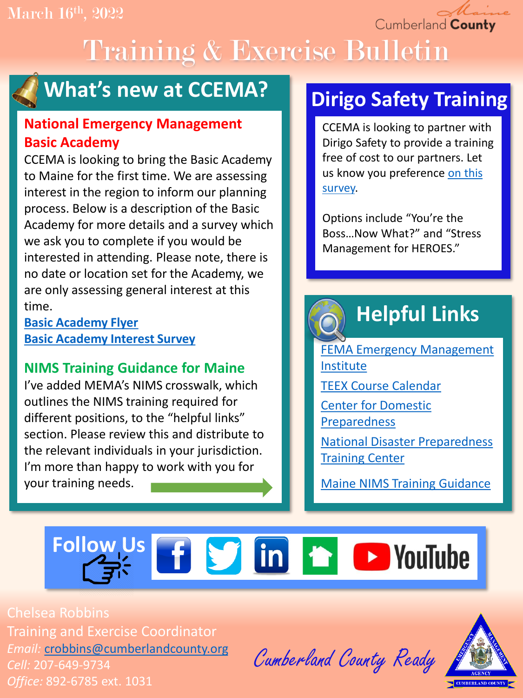Cumberland County

# Training & Exercise Bulletin



### **What's new at CCEMA?**

### **National Emergency Management Basic Academy**

CCEMA is looking to bring the Basic Academy to Maine for the first time. We are assessing interest in the region to inform our planning process. Below is a description of the Basic Academy for more details and a survey which we ask you to complete if you would be interested in attending. Please note, there is no date or location set for the Academy, we are only assessing general interest at this time.

**[Basic Academy Flyer](https://drive.google.com/file/d/1UjV_5PMJCPYcing_Z7N7oUiKHaBPetCm/view?usp=sharing) [Basic Academy Interest Survey](https://docs.google.com/forms/d/e/1FAIpQLSdz3jb36IBDgSb563uPUoT4bKwAlq7tNXTIS8YEfHQpwk-i-g/viewform?usp=sf_link)**

### **NIMS Training Guidance for Maine**

I've added MEMA's NIMS crosswalk, which outlines the NIMS training required for different positions, to the "helpful links" section. Please review this and distribute to the relevant individuals in your jurisdiction. I'm more than happy to work with you for your training needs.

### **Dirigo Safety Training**

CCEMA is looking to partner with Dirigo Safety to provide a training free of cost to our partners. Let [us know you preference on this](https://docs.google.com/forms/d/e/1FAIpQLSftUrAIWbJKTYNxEkG4kpyrBnD2BX5-GZ82Wi6vDSN_WhYozQ/viewform?usp=sf_link)  survey.

Options include "You're the Boss…Now What?" and "Stress Management for HEROES."

## **Helpful Links**

[FEMA Emergency Management](https://training.fema.gov/is/) Institute [TEEX Course Calendar](https://teex.org/course-calendar/)

[Center for Domestic](https://cdp.dhs.gov/)  Preparedness

[National Disaster Preparedness](https://ndptc.hawaii.edu/training/)  Training Center

[Maine NIMS Training Guidance](https://drive.google.com/file/d/1hLGpscMz29JE8gGn6yRbW_ZueEg6mWH1/view?usp=sharing)

## **Follow Usf S** in **h D** YouTube

Chelsea Robbins Training and Exercise Coordinator *Email:* [crobbins@cumberlandcounty.org](mailto:crobbins@cumberlandcounty.org) *Cell:* 207-649-9734 *Office:* 892-6785 ext. 1031

Cumberland County Ready